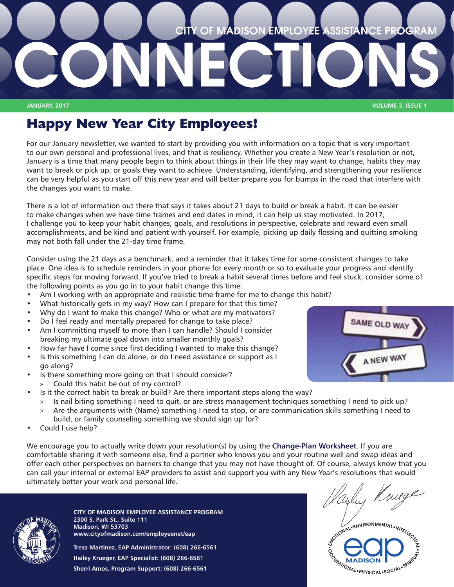

**JANUARY, 2017 VOLUME 3, ISSUE 1**

# **Happy New Year City Employees!**

For our January newsletter, we wanted to start by providing you with information on a topic that is very important to our own personal and professional lives, and that is resiliency. Whether you create a New Year's resolution or not, January is a time that many people begin to think about things in their life they may want to change, habits they may want to break or pick up, or goals they want to achieve. Understanding, identifying, and strengthening your resilience can be very helpful as you start off this new year and will better prepare you for bumps in the road that interfere with the changes you want to make.

There is a lot of information out there that says it takes about 21 days to build or break a habit. It can be easier to make changes when we have time frames and end dates in mind, it can help us stay motivated. In 2017, I challenge you to keep your habit changes, goals, and resolutions in perspective, celebrate and reward even small accomplishments, and be kind and patient with yourself. For example, picking up daily flossing and quitting smoking may not both fall under the 21-day time frame.

Consider using the 21 days as a benchmark, and a reminder that it takes time for some consistent changes to take place. One idea is to schedule reminders in your phone for every month or so to evaluate your progress and identify specific steps for moving forward. If you've tried to break a habit several times before and feel stuck, consider some of the following points as you go in to your habit change this time:

- Am I working with an appropriate and realistic time frame for me to change this habit?
- What historically gets in my way? How can I prepare for that this time?
- Why do I want to make this change? Who or what are my motivators?
- Do I feel ready and mentally prepared for change to take place?
- Am I committing myself to more than I can handle? Should I consider breaking my ultimate goal down into smaller monthly goals?
- How far have I come since first deciding I wanted to make this change?
- Is this something I can do alone, or do I need assistance or support as I go along?
- Is there something more going on that I should consider?
	- » Could this habit be out of my control?
- Is it the correct habit to break or build? Are there important steps along the way?
	- » Is nail biting something I need to quit, or are stress management techniques something I need to pick up?
	- » Are the arguments with (Name) something I need to stop, or are communication skills something I need to build, or family counseling something we should sign up for?
- Could I use help?

We encourage you to actually write down your resolution(s) by using the **[Change-Plan Worksheet](http://www.cityofmadison.com/employeenet/eap/documents/ChangePlanWorksheet.pdf)**. If you are comfortable sharing it with someone else, find a partner who knows you and your routine well and swap ideas and offer each other perspectives on barriers to change that you may not have thought of. Of course, always know that you can call your internal or external EAP providers to assist and support you with any New Year's resolutions that would ultimately better your work and personal life.



**CITY OF MADISON EMPLOYEE ASSISTANCE PROGRAM 2300 S. Park St., Suite 111 Madison, WI 53703 www.cityofmadison.com/employeenet/eap**

**Tresa Martinez, EAP Administrator: (608) 266-6561 Hailey Krueger, EAP Specialist: (608) 266-6561 Sherri Amos, Program Support: (608) 266-6561**



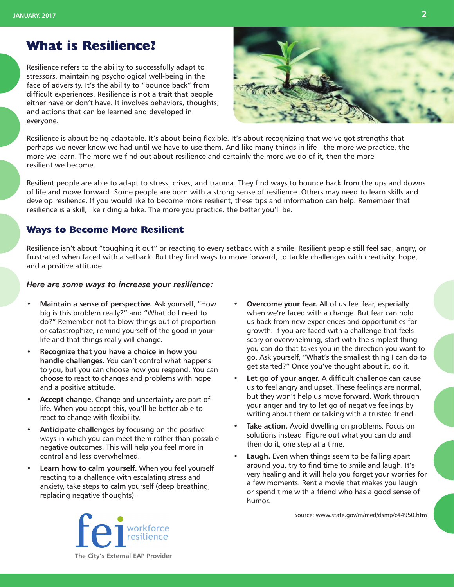## **What is Resilience?**

Resilience refers to the ability to successfully adapt to stressors, maintaining psychological well-being in the face of adversity. It's the ability to "bounce back" from difficult experiences. Resilience is not a trait that people either have or don't have. It involves behaviors, thoughts, and actions that can be learned and developed in everyone.



Resilience is about being adaptable. It's about being flexible. It's about recognizing that we've got strengths that perhaps we never knew we had until we have to use them. And like many things in life - the more we practice, the more we learn. The more we find out about resilience and certainly the more we do of it, then the more resilient we become.

Resilient people are able to adapt to stress, crises, and trauma. They find ways to bounce back from the ups and downs of life and move forward. Some people are born with a strong sense of resilience. Others may need to learn skills and develop resilience. If you would like to become more resilient, these tips and information can help. Remember that resilience is a skill, like riding a bike. The more you practice, the better you'll be.

#### **Ways to Become More Resilient**

Resilience isn't about "toughing it out" or reacting to every setback with a smile. Resilient people still feel sad, angry, or frustrated when faced with a setback. But they find ways to move forward, to tackle challenges with creativity, hope, and a positive attitude.

#### *Here are some ways to increase your resilience:*

- **• Maintain a sense of perspective.** Ask yourself, "How big is this problem really?" and "What do I need to do?" Remember not to blow things out of proportion or catastrophize, remind yourself of the good in your life and that things really will change.
- **• Recognize that you have a choice in how you handle challenges.** You can't control what happens to you, but you can choose how you respond. You can choose to react to changes and problems with hope and a positive attitude.
- **• Accept change.** Change and uncertainty are part of life. When you accept this, you'll be better able to react to change with flexibility.
- **• Anticipate challenges** by focusing on the positive ways in which you can meet them rather than possible negative outcomes. This will help you feel more in control and less overwhelmed.
- **• Learn how to calm yourself.** When you feel yourself reacting to a challenge with escalating stress and anxiety, take steps to calm yourself (deep breathing, replacing negative thoughts).
- **• Overcome your fear.** All of us feel fear, especially when we're faced with a change. But fear can hold us back from new experiences and opportunities for growth. If you are faced with a challenge that feels scary or overwhelming, start with the simplest thing you can do that takes you in the direction you want to go. Ask yourself, "What's the smallest thing I can do to get started?" Once you've thought about it, do it.
- **• Let go of your anger.** A difficult challenge can cause us to feel angry and upset. These feelings are normal, but they won't help us move forward. Work through your anger and try to let go of negative feelings by writing about them or talking with a trusted friend.
- **• Take action.** Avoid dwelling on problems. Focus on solutions instead. Figure out what you can do and then do it, one step at a time.
- **• Laugh.** Even when things seem to be falling apart around you, try to find time to smile and laugh. It's very healing and it will help you forget your worries for a few moments. Rent a movie that makes you laugh or spend time with a friend who has a good sense of humor.

Source: www.state.gov/m/med/dsmp/c44950.htm

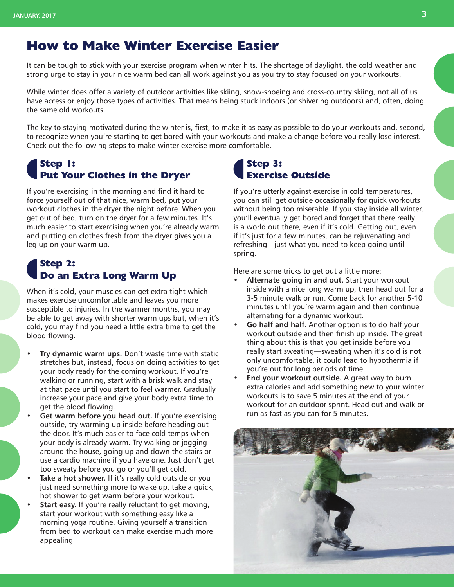## **How to Make Winter Exercise Easier**

It can be tough to stick with your exercise program when winter hits. The shortage of daylight, the cold weather and strong urge to stay in your nice warm bed can all work against you as you try to stay focused on your workouts.

While winter does offer a variety of outdoor activities like skiing, snow-shoeing and cross-country skiing, not all of us have access or enjoy those types of activities. That means being stuck indoors (or shivering outdoors) and, often, doing the same old workouts.

The key to staying motivated during the winter is, first, to make it as easy as possible to do your workouts and, second, to recognize when you're starting to get bored with your workouts and make a change before you really lose interest. Check out the following steps to make winter exercise more comfortable.

#### **Step 1: Put Your Clothes in the Dryer**

If you're exercising in the morning and find it hard to force yourself out of that nice, warm bed, put your workout clothes in the dryer the night before. When you get out of bed, turn on the dryer for a few minutes. It's much easier to start exercising when you're already warm and putting on clothes fresh from the dryer gives you a leg up on your warm up.

### **Step 2: Do an Extra Long Warm Up**

When it's cold, your muscles can get extra tight which makes exercise uncomfortable and leaves you more susceptible to injuries. In the warmer months, you may be able to get away with shorter warm ups but, when it's cold, you may find you need a little extra time to get the blood flowing.

- **• Try dynamic warm ups.** Don't waste time with static stretches but, instead, focus on doing activities to get your body ready for the coming workout. If you're walking or running, start with a brisk walk and stay at that pace until you start to feel warmer. Gradually increase your pace and give your body extra time to get the blood flowing.
- **• Get warm before you head out.** If you're exercising outside, try warming up inside before heading out the door. It's much easier to face cold temps when your body is already warm. Try walking or jogging around the house, going up and down the stairs or use a cardio machine if you have one. Just don't get too sweaty before you go or you'll get cold.
- **• Take a hot shower.** If it's really cold outside or you just need something more to wake up, take a quick, hot shower to get warm before your workout.
- **• Start easy.** If you're really reluctant to get moving, start your workout with something easy like a morning yoga routine. Giving yourself a transition from bed to workout can make exercise much more appealing.

#### **Step 3: Exercise Outside**

If you're utterly against exercise in cold temperatures, you can still get outside occasionally for quick workouts without being too miserable. If you stay inside all winter, you'll eventually get bored and forget that there really is a world out there, even if it's cold. Getting out, even if it's just for a few minutes, can be rejuvenating and refreshing—just what you need to keep going until spring.

Here are some tricks to get out a little more:

- **• Alternate going in and out.** Start your workout inside with a nice long warm up, then head out for a 3-5 minute walk or run. Come back for another 5-10 minutes until you're warm again and then continue alternating for a dynamic workout.
- **• Go half and half.** Another option is to do half your workout outside and then finish up inside. The great thing about this is that you get inside before you really start sweating—sweating when it's cold is not only uncomfortable, it could lead to hypothermia if you're out for long periods of time.
- **• End your workout outside.** A great way to burn extra calories and add something new to your winter workouts is to save 5 minutes at the end of your workout for an outdoor sprint. Head out and walk or run as fast as you can for 5 minutes.

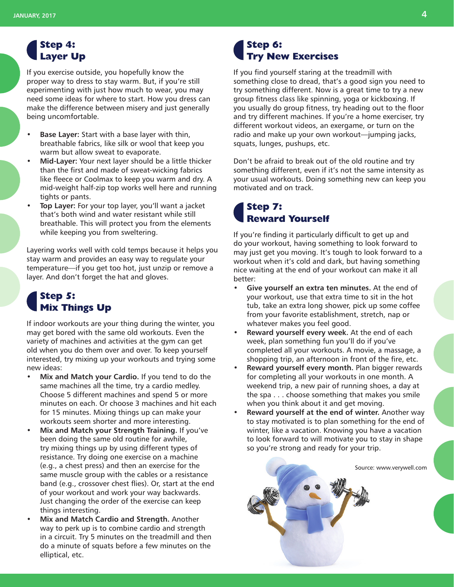#### **Step 4: Layer Up**

If you exercise outside, you hopefully know the proper way to dress to stay warm. But, if you're still experimenting with just how much to wear, you may need some ideas for where to start. How you dress can make the difference between misery and just generally being uncomfortable.

- **• Base Layer:** Start with a base layer with thin, breathable fabrics, like silk or wool that keep you warm but allow sweat to evaporate.
- **• Mid-Layer:** Your next layer should be a little thicker than the first and made of sweat-wicking fabrics like fleece or Coolmax to keep you warm and dry. A mid-weight half-zip top works well here and running tights or pants.
- **• Top Layer:** For your top layer, you'll want a jacket that's both wind and water resistant while still breathable. This will protect you from the elements while keeping you from sweltering.

Layering works well with cold temps because it helps you stay warm and provides an easy way to regulate your temperature—if you get too hot, just unzip or remove a layer. And don't forget the hat and gloves.

### **Step 5: Mix Things Up**

If indoor workouts are your thing during the winter, you may get bored with the same old workouts. Even the variety of machines and activities at the gym can get old when you do them over and over. To keep yourself interested, try mixing up your workouts and trying some new ideas:

- **• Mix and Match your Cardio.** If you tend to do the same machines all the time, try a cardio medley. Choose 5 different machines and spend 5 or more minutes on each. Or choose 3 machines and hit each for 15 minutes. Mixing things up can make your workouts seem shorter and more interesting.
- **• Mix and Match your Strength Training.** If you've been doing the same old routine for awhile, try mixing things up by using different types of resistance. Try doing one exercise on a machine (e.g., a chest press) and then an exercise for the same muscle group with the cables or a resistance band (e.g., crossover chest flies). Or, start at the end of your workout and work your way backwards. Just changing the order of the exercise can keep things interesting.
- **• Mix and Match Cardio and Strength.** Another way to perk up is to combine cardio and strength in a circuit. Try 5 minutes on the treadmill and then do a minute of squats before a few minutes on the elliptical, etc.

### **Step 6: Try New Exercises**

If you find yourself staring at the treadmill with something close to dread, that's a good sign you need to try something different. Now is a great time to try a new group fitness class like spinning, yoga or kickboxing. If you usually do group fitness, try heading out to the floor and try different machines. If you're a home exerciser, try different workout videos, an exergame, or turn on the radio and make up your own workout—jumping jacks, squats, lunges, pushups, etc.

Don't be afraid to break out of the old routine and try something different, even if it's not the same intensity as your usual workouts. Doing something new can keep you motivated and on track.

#### **Step 7: Reward Yourself**

If you're finding it particularly difficult to get up and do your workout, having something to look forward to may just get you moving. It's tough to look forward to a workout when it's cold and dark, but having something nice waiting at the end of your workout can make it all better:

- **• Give yourself an extra ten minutes.** At the end of your workout, use that extra time to sit in the hot tub, take an extra long shower, pick up some coffee from your favorite establishment, stretch, nap or whatever makes you feel good.
- **• Reward yourself every week.** At the end of each week, plan something fun you'll do if you've completed all your workouts. A movie, a massage, a shopping trip, an afternoon in front of the fire, etc.
- **• Reward yourself every month.** Plan bigger rewards for completing all your workouts in one month. A weekend trip, a new pair of running shoes, a day at the spa . . . choose something that makes you smile when you think about it and get moving.
- **• Reward yourself at the end of winter.** Another way to stay motivated is to plan something for the end of winter, like a vacation. Knowing you have a vacation to look forward to will motivate you to stay in shape so you're strong and ready for your trip.